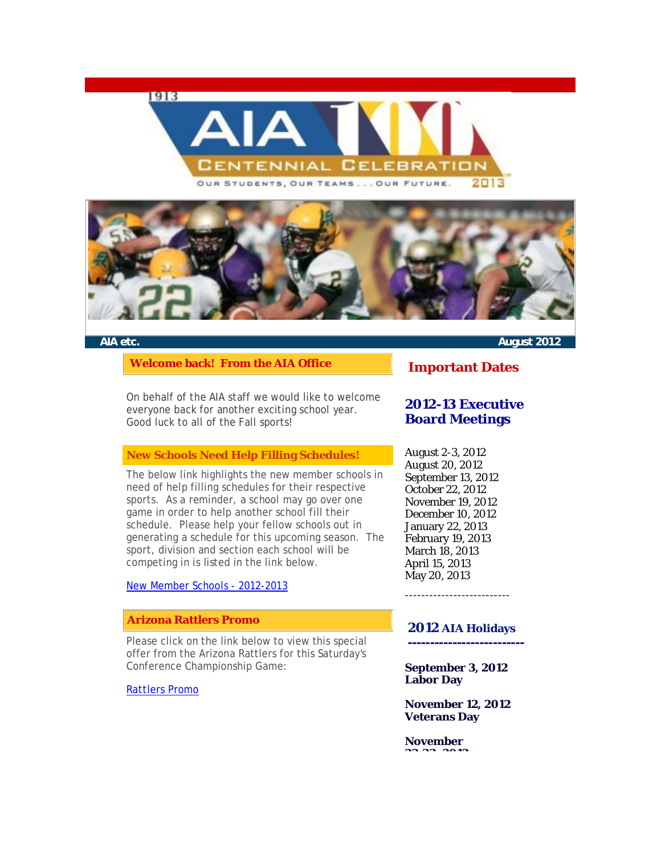





**Welcome back! From the AIA Office** 

On behalf of the AIA staff we would like to welcome everyone back for another exciting school year. Good luck to all of the Fall sports!

#### **[New Schools Need Help Fillin](http://r20.rs6.net/tn.jsp?e=001PvDtX3jPnDfsxd-kaWUjDn_VPNDbeh_46e06s6ny_yYxlMfLXY-uHZPYDtTgUkuvlBp7fegz3IIobnOVQjHgzVQF3E9ceQtToE9_ciOz-Zr2p8TV3Sg5mi4YOE_ZjpI-oz61SRFWdvI=)g Schedules!**

The below link highlights the new member schools in need of help filling schedules for their respective sports. As a reminder, a school may go over one game in order to help another school fill their schedule. Please help your fellow schools out in generating a schedule for this upcoming season. The sport, division and section each school will be competing in is listed in the link below.

New Member Schools - 2012-2013

### **Arizona Rattlers Promo**

Please click on the link below to view this special offer from the Arizona Rattlers for this Saturday's Conference Championship Game:

#### Rattlers Promo

**AIA etc. August 2012**

## **Important Dates**

# **2012-13 Executive Board Meetings**

August 2-3, 2012 August 20, 2012 September 13, 2012 October 22, 2012 November 19, 2012 December 10, 2012 January 22, 2013 February 19, 2013 March 18, 2013 April 15, 2013 May 20, 2013

#### **2012 AIA Holidays**

--------------------------

**--------------------------**

**September 3, 2012 Labor Day** 

**November 12, 2012 Veterans Day** 

**November 22-23, 2012**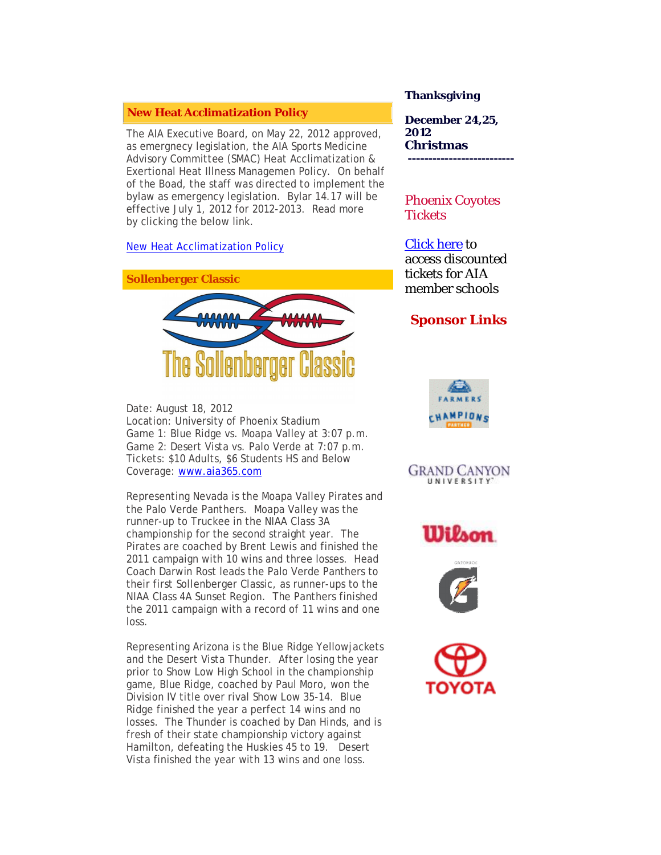#### **New Heat Acclimatization Policy**

The AIA Executive Board, on May 22, 2012 approved, as emergnecy legislation, the AIA Sports Medicine Advisory Committee (SMAC) Heat Acclimatization & Exertional Heat Illness Managemen Policy. On behalf of the Boad, the staff was directed to implement the bylaw as emergency legislation. Bylar 14.17 will be effective July 1, 2012 for 2012-2013. Read more by clicking the below link.

New Heat Acclimatization Policy



Date: August 18, 2012 Location: University of Phoenix Stadium Game 1: Blue Ridge vs. Moapa Valley at 3:07 p.m. Game 2: Desert Vista vs. Palo Verde at 7:07 p.m. Tickets: \$10 Adults, \$6 Students HS and Below Coverage: www.aia365.com

Representing Nevada is the Moapa Valley Pirates and the Palo Verde Panthers. Moapa Valley was the runner-up to Truckee in the NIAA Class 3A championship for the second straight year. The Pirates are coached by Brent Lewis and finished the 2011 campaign with 10 wins and three losses. Head Coach Darwin Rost leads the Palo Verde Panthers to their first Sollenberger Classic, as runner-ups to the NIAA Class 4A Sunset Region. The Panthers finished the 2011 campaign with a record of 11 wins and one loss.

Representing Arizona is the Blue Ridge Yellowjackets and the Desert Vista Thunder. After losing the year prior to Show Low High School in the championship game, Blue Ridge, coached by Paul Moro, won the Division IV title over rival Show Low 35-14. Blue Ridge finished the year a perfect 14 wins and no losses. The Thunder is coached by Dan Hinds, and is fresh of their state championship victory against Hamilton, defeating the Huskies 45 to 19. Desert Vista finished the year with 13 wins and one loss.

#### **Thanksgiving**

**December 24,25, 2012 Christmas --------------------------** 

# Phoenix Coyotes **Tickets**

Click here to access discounted tickets for AIA member schools

# **Sponsor Li[nks](http://r20.rs6.net/tn.jsp?e=001PvDtX3jPnDfsxd-kaWUjDn_VPNDbeh_46e06s6ny_yYxlMfLXY-uHZPYDtTgUkuvlBp7fegz3IIobnOVQjHgzT44ut-kyCRIG8TQBD1oGyjS2K3rTt4XgQ==)**